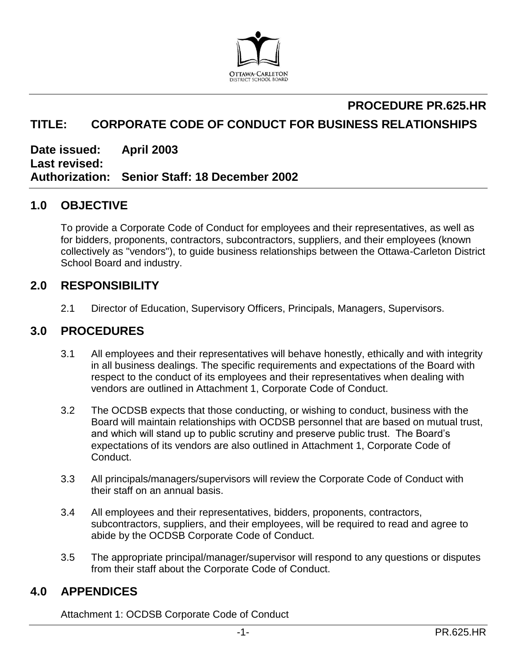

# **PROCEDURE PR.625.HR**

# **TITLE: CORPORATE CODE OF CONDUCT FOR BUSINESS RELATIONSHIPS**

**Date issued: April 2003 Last revised: Authorization: Senior Staff: 18 December 2002**

# **1.0 OBJECTIVE**

To provide a Corporate Code of Conduct for employees and their representatives, as well as for bidders, proponents, contractors, subcontractors, suppliers, and their employees (known collectively as "vendors"), to guide business relationships between the Ottawa-Carleton District School Board and industry.

## **2.0 RESPONSIBILITY**

2.1 Director of Education, Supervisory Officers, Principals, Managers, Supervisors.

# **3.0 PROCEDURES**

- 3.1 All employees and their representatives will behave honestly, ethically and with integrity in all business dealings. The specific requirements and expectations of the Board with respect to the conduct of its employees and their representatives when dealing with vendors are outlined in Attachment 1, Corporate Code of Conduct.
- 3.2 The OCDSB expects that those conducting, or wishing to conduct, business with the Board will maintain relationships with OCDSB personnel that are based on mutual trust, and which will stand up to public scrutiny and preserve public trust. The Board's expectations of its vendors are also outlined in Attachment 1, Corporate Code of Conduct.
- 3.3 All principals/managers/supervisors will review the Corporate Code of Conduct with their staff on an annual basis.
- 3.4 All employees and their representatives, bidders, proponents, contractors, subcontractors, suppliers, and their employees, will be required to read and agree to abide by the OCDSB Corporate Code of Conduct.
- 3.5 The appropriate principal/manager/supervisor will respond to any questions or disputes from their staff about the Corporate Code of Conduct.

## **4.0 APPENDICES**

Attachment 1: OCDSB Corporate Code of Conduct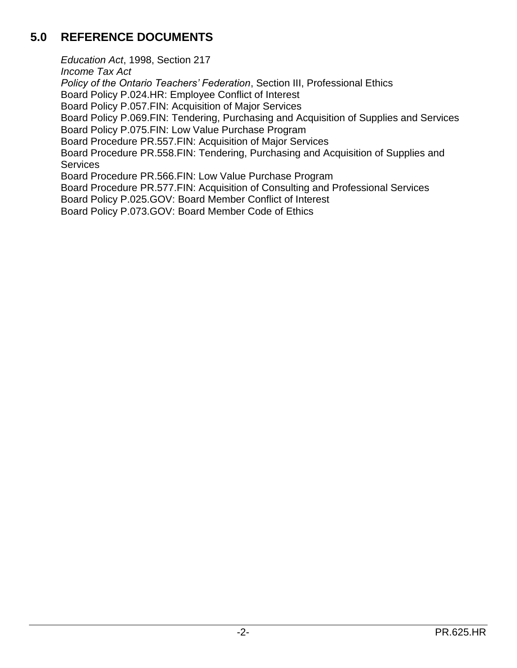# **5.0 REFERENCE DOCUMENTS**

*Education Act*, 1998, Section 217 *Income Tax Act Policy of the Ontario Teachers' Federation*, Section III, Professional Ethics Board Policy P.024.HR: Employee Conflict of Interest Board Policy P.057.FIN: Acquisition of Major Services Board Policy P.069.FIN: Tendering, Purchasing and Acquisition of Supplies and Services Board Policy P.075.FIN: Low Value Purchase Program Board Procedure PR.557.FIN: Acquisition of Major Services Board Procedure PR.558.FIN: Tendering, Purchasing and Acquisition of Supplies and **Services** Board Procedure PR.566.FIN: Low Value Purchase Program Board Procedure PR.577.FIN: Acquisition of Consulting and Professional Services Board Policy P.025.GOV: Board Member Conflict of Interest Board Policy P.073.GOV: Board Member Code of Ethics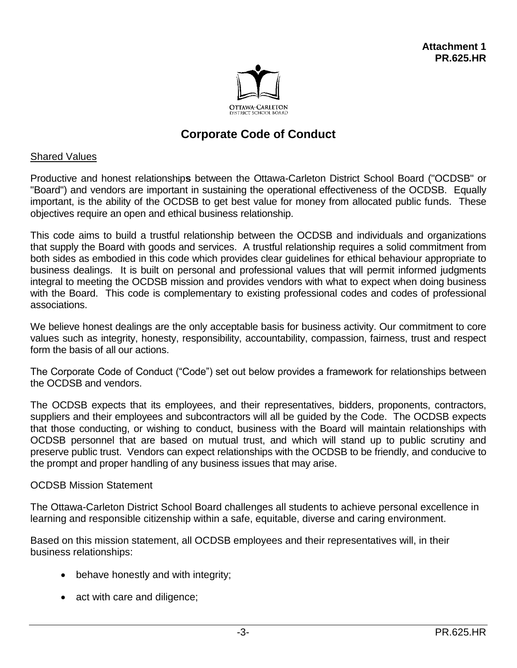

# **Corporate Code of Conduct**

#### Shared Values

Productive and honest relationship**s** between the Ottawa-Carleton District School Board ("OCDSB" or "Board") and vendors are important in sustaining the operational effectiveness of the OCDSB. Equally important, is the ability of the OCDSB to get best value for money from allocated public funds. These objectives require an open and ethical business relationship.

This code aims to build a trustful relationship between the OCDSB and individuals and organizations that supply the Board with goods and services. A trustful relationship requires a solid commitment from both sides as embodied in this code which provides clear guidelines for ethical behaviour appropriate to business dealings. It is built on personal and professional values that will permit informed judgments integral to meeting the OCDSB mission and provides vendors with what to expect when doing business with the Board. This code is complementary to existing professional codes and codes of professional associations.

We believe honest dealings are the only acceptable basis for business activity. Our commitment to core values such as integrity, honesty, responsibility, accountability, compassion, fairness, trust and respect form the basis of all our actions.

The Corporate Code of Conduct ("Code") set out below provides a framework for relationships between the OCDSB and vendors.

The OCDSB expects that its employees, and their representatives, bidders, proponents, contractors, suppliers and their employees and subcontractors will all be guided by the Code. The OCDSB expects that those conducting, or wishing to conduct, business with the Board will maintain relationships with OCDSB personnel that are based on mutual trust, and which will stand up to public scrutiny and preserve public trust. Vendors can expect relationships with the OCDSB to be friendly, and conducive to the prompt and proper handling of any business issues that may arise.

#### OCDSB Mission Statement

The Ottawa-Carleton District School Board challenges all students to achieve personal excellence in learning and responsible citizenship within a safe, equitable, diverse and caring environment.

Based on this mission statement, all OCDSB employees and their representatives will, in their business relationships:

- behave honestly and with integrity;
- act with care and diligence;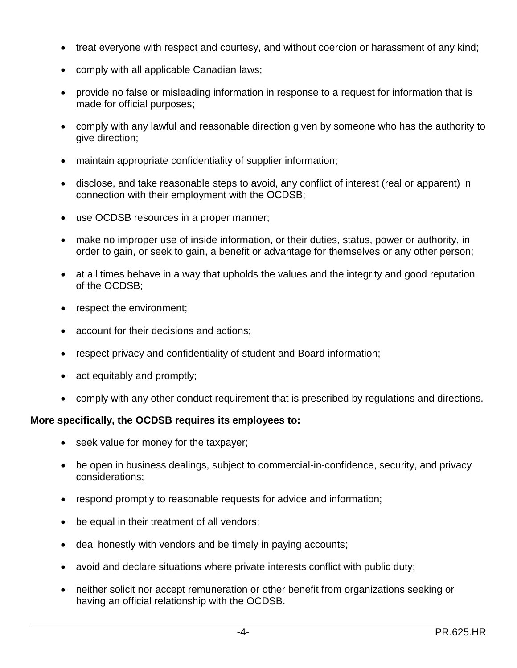- treat everyone with respect and courtesy, and without coercion or harassment of any kind;
- comply with all applicable Canadian laws;
- provide no false or misleading information in response to a request for information that is made for official purposes;
- comply with any lawful and reasonable direction given by someone who has the authority to give direction;
- maintain appropriate confidentiality of supplier information;
- disclose, and take reasonable steps to avoid, any conflict of interest (real or apparent) in connection with their employment with the OCDSB;
- use OCDSB resources in a proper manner;
- make no improper use of inside information, or their duties, status, power or authority, in order to gain, or seek to gain, a benefit or advantage for themselves or any other person;
- at all times behave in a way that upholds the values and the integrity and good reputation of the OCDSB;
- respect the environment;
- account for their decisions and actions;
- respect privacy and confidentiality of student and Board information;
- act equitably and promptly;
- comply with any other conduct requirement that is prescribed by regulations and directions.

#### **More specifically, the OCDSB requires its employees to:**

- seek value for money for the taxpayer;
- be open in business dealings, subject to commercial-in-confidence, security, and privacy considerations;
- respond promptly to reasonable requests for advice and information;
- be equal in their treatment of all vendors;
- deal honestly with vendors and be timely in paying accounts;
- avoid and declare situations where private interests conflict with public duty;
- neither solicit nor accept remuneration or other benefit from organizations seeking or having an official relationship with the OCDSB.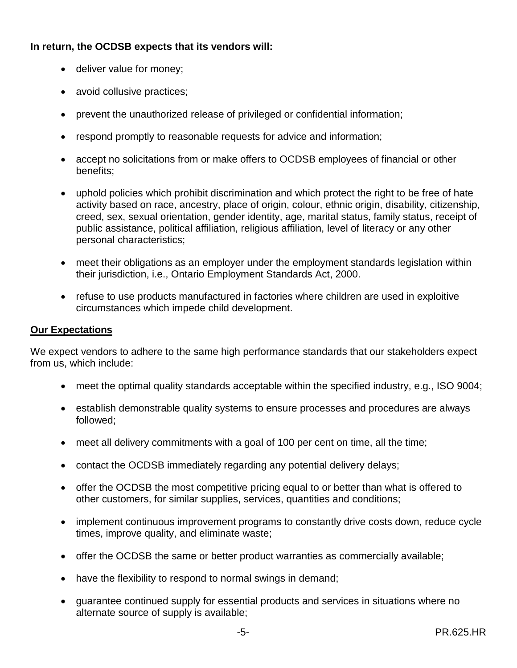## **In return, the OCDSB expects that its vendors will:**

- deliver value for money;
- avoid collusive practices;
- prevent the unauthorized release of privileged or confidential information;
- respond promptly to reasonable requests for advice and information;
- accept no solicitations from or make offers to OCDSB employees of financial or other benefits;
- uphold policies which prohibit discrimination and which protect the right to be free of hate activity based on race, ancestry, place of origin, colour, ethnic origin, disability, citizenship, creed, sex, sexual orientation, gender identity, age, marital status, family status, receipt of public assistance, political affiliation, religious affiliation, level of literacy or any other personal characteristics;
- meet their obligations as an employer under the employment standards legislation within their jurisdiction, i.e., Ontario Employment Standards Act, 2000.
- refuse to use products manufactured in factories where children are used in exploitive circumstances which impede child development.

## **Our Expectations**

We expect vendors to adhere to the same high performance standards that our stakeholders expect from us, which include:

- meet the optimal quality standards acceptable within the specified industry, e.g., ISO 9004;
- establish demonstrable quality systems to ensure processes and procedures are always followed;
- meet all delivery commitments with a goal of 100 per cent on time, all the time;
- contact the OCDSB immediately regarding any potential delivery delays;
- offer the OCDSB the most competitive pricing equal to or better than what is offered to other customers, for similar supplies, services, quantities and conditions;
- implement continuous improvement programs to constantly drive costs down, reduce cycle times, improve quality, and eliminate waste;
- offer the OCDSB the same or better product warranties as commercially available;
- have the flexibility to respond to normal swings in demand;
- guarantee continued supply for essential products and services in situations where no alternate source of supply is available;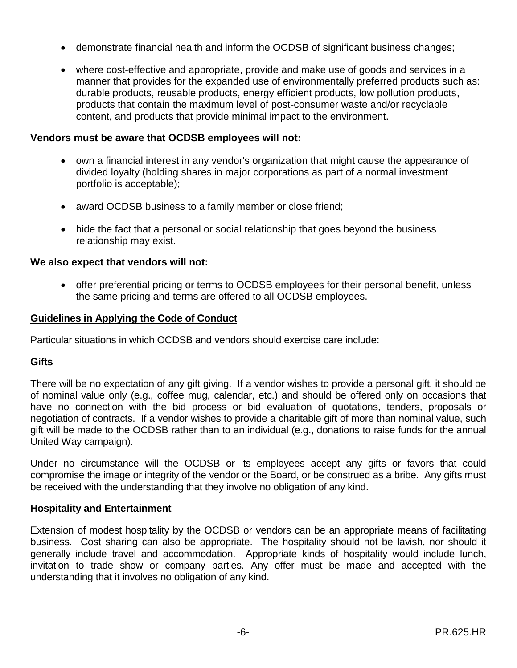- demonstrate financial health and inform the OCDSB of significant business changes;
- where cost-effective and appropriate, provide and make use of goods and services in a manner that provides for the expanded use of environmentally preferred products such as: durable products, reusable products, energy efficient products, low pollution products, products that contain the maximum level of post-consumer waste and/or recyclable content, and products that provide minimal impact to the environment.

#### **Vendors must be aware that OCDSB employees will not:**

- own a financial interest in any vendor's organization that might cause the appearance of divided loyalty (holding shares in major corporations as part of a normal investment portfolio is acceptable);
- award OCDSB business to a family member or close friend;
- hide the fact that a personal or social relationship that goes beyond the business relationship may exist.

#### **We also expect that vendors will not:**

 offer preferential pricing or terms to OCDSB employees for their personal benefit, unless the same pricing and terms are offered to all OCDSB employees.

#### **Guidelines in Applying the Code of Conduct**

Particular situations in which OCDSB and vendors should exercise care include:

## **Gifts**

There will be no expectation of any gift giving. If a vendor wishes to provide a personal gift, it should be of nominal value only (e.g., coffee mug, calendar, etc.) and should be offered only on occasions that have no connection with the bid process or bid evaluation of quotations, tenders, proposals or negotiation of contracts. If a vendor wishes to provide a charitable gift of more than nominal value, such gift will be made to the OCDSB rather than to an individual (e.g., donations to raise funds for the annual United Way campaign).

Under no circumstance will the OCDSB or its employees accept any gifts or favors that could compromise the image or integrity of the vendor or the Board, or be construed as a bribe. Any gifts must be received with the understanding that they involve no obligation of any kind.

#### **Hospitality and Entertainment**

Extension of modest hospitality by the OCDSB or vendors can be an appropriate means of facilitating business. Cost sharing can also be appropriate. The hospitality should not be lavish, nor should it generally include travel and accommodation. Appropriate kinds of hospitality would include lunch, invitation to trade show or company parties. Any offer must be made and accepted with the understanding that it involves no obligation of any kind.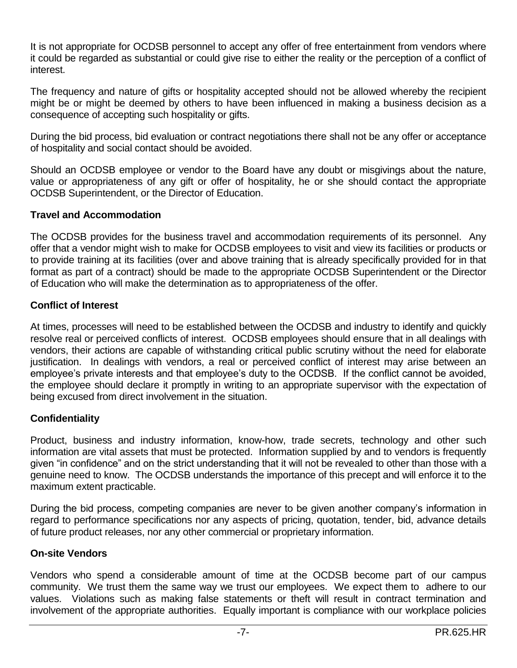It is not appropriate for OCDSB personnel to accept any offer of free entertainment from vendors where it could be regarded as substantial or could give rise to either the reality or the perception of a conflict of interest.

The frequency and nature of gifts or hospitality accepted should not be allowed whereby the recipient might be or might be deemed by others to have been influenced in making a business decision as a consequence of accepting such hospitality or gifts.

During the bid process, bid evaluation or contract negotiations there shall not be any offer or acceptance of hospitality and social contact should be avoided.

Should an OCDSB employee or vendor to the Board have any doubt or misgivings about the nature, value or appropriateness of any gift or offer of hospitality, he or she should contact the appropriate OCDSB Superintendent, or the Director of Education.

## **Travel and Accommodation**

The OCDSB provides for the business travel and accommodation requirements of its personnel. Any offer that a vendor might wish to make for OCDSB employees to visit and view its facilities or products or to provide training at its facilities (over and above training that is already specifically provided for in that format as part of a contract) should be made to the appropriate OCDSB Superintendent or the Director of Education who will make the determination as to appropriateness of the offer.

## **Conflict of Interest**

At times, processes will need to be established between the OCDSB and industry to identify and quickly resolve real or perceived conflicts of interest. OCDSB employees should ensure that in all dealings with vendors, their actions are capable of withstanding critical public scrutiny without the need for elaborate justification. In dealings with vendors, a real or perceived conflict of interest may arise between an employee's private interests and that employee's duty to the OCDSB. If the conflict cannot be avoided, the employee should declare it promptly in writing to an appropriate supervisor with the expectation of being excused from direct involvement in the situation.

## **Confidentiality**

Product, business and industry information, know-how, trade secrets, technology and other such information are vital assets that must be protected. Information supplied by and to vendors is frequently given "in confidence" and on the strict understanding that it will not be revealed to other than those with a genuine need to know. The OCDSB understands the importance of this precept and will enforce it to the maximum extent practicable.

During the bid process, competing companies are never to be given another company's information in regard to performance specifications nor any aspects of pricing, quotation, tender, bid, advance details of future product releases, nor any other commercial or proprietary information.

## **On-site Vendors**

Vendors who spend a considerable amount of time at the OCDSB become part of our campus community. We trust them the same way we trust our employees. We expect them to adhere to our values. Violations such as making false statements or theft will result in contract termination and involvement of the appropriate authorities. Equally important is compliance with our workplace policies